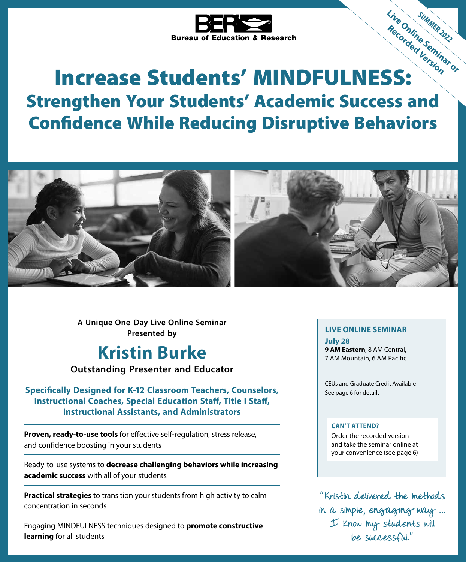

# Bureau of Education L.<br> **Increase Students' MINDFULNESS:** Strengthen Your Students' Academic Success and Confidence While Reducing Disruptive Behaviors Live Online Summit 2022 Recording Seminary



**A Unique One-Day Live Online Seminar Presented by**

## **Kristin Burke**

**Outstanding Presenter and Educator**

**Specifically Designed for K-12 Classroom Teachers, Counselors, Instructional Coaches, Special Education Staff, Title I Staff, Instructional Assistants, and Administrators**

**Proven, ready-to-use tools** for effective self-regulation, stress release, and confidence boosting in your students

Ready-to-use systems to **decrease challenging behaviors while increasing academic success** with all of your students

**Practical strategies** to transition your students from high activity to calm concentration in seconds

Engaging MINDFULNESS techniques designed to **promote constructive learning** for all students

## **LIVE ONLINE SEMINAR**

**July 28 9 AM Eastern**, 8 AM Central, 7 AM Mountain, 6 AM Pacific

CEUs and Graduate Credit Available See page 6 for details

#### **CAN'T ATTEND?**

Order the recorded version and take the seminar online at your convenience (see page 6)

"Kristin delivered the methods in a simple, engaging way … I know my students will be successful."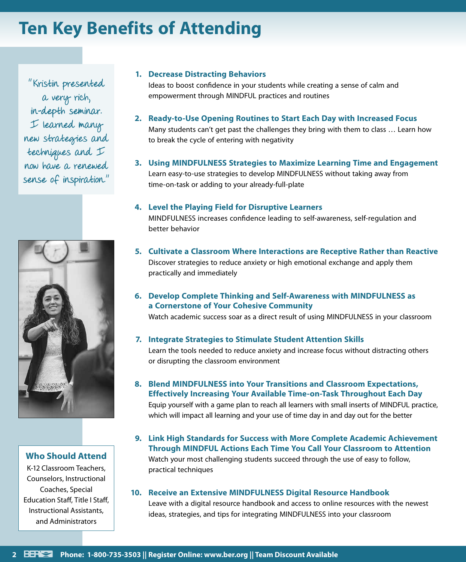# **Ten Key Benefits of Attending**

"Kristin presented a very rich, in-depth seminar. I learned many new strategies and techniques and I now have a renewed sense of inspiration."



#### **Who Should Attend**

K-12 Classroom Teachers, Counselors, Instructional Coaches, Special Education Staff, Title I Staff, Instructional Assistants, and Administrators

#### **1. Decrease Distracting Behaviors**

Ideas to boost confidence in your students while creating a sense of calm and empowerment through MINDFUL practices and routines

- **2. Ready-to-Use Opening Routines to Start Each Day with Increased Focus** Many students can't get past the challenges they bring with them to class … Learn how to break the cycle of entering with negativity
- **3. Using MINDFULNESS Strategies to Maximize Learning Time and Engagement** Learn easy-to-use strategies to develop MINDFULNESS without taking away from time-on-task or adding to your already-full-plate

#### **4. Level the Playing Field for Disruptive Learners**

MINDFULNESS increases confidence leading to self-awareness, self-regulation and better behavior

- **5. Cultivate a Classroom Where Interactions are Receptive Rather than Reactive** Discover strategies to reduce anxiety or high emotional exchange and apply them practically and immediately
- **6. Develop Complete Thinking and Self-Awareness with MINDFULNESS as a Cornerstone of Your Cohesive Community**

Watch academic success soar as a direct result of using MINDFULNESS in your classroom

- **7. Integrate Strategies to Stimulate Student Attention Skills** Learn the tools needed to reduce anxiety and increase focus without distracting others or disrupting the classroom environment
- **8. Blend MINDFULNESS into Your Transitions and Classroom Expectations, Effectively Increasing Your Available Time-on-Task Throughout Each Day** Equip yourself with a game plan to reach all learners with small inserts of MINDFUL practice, which will impact all learning and your use of time day in and day out for the better
- **9. Link High Standards for Success with More Complete Academic Achievement Through MINDFUL Actions Each Time You Call Your Classroom to Attention** Watch your most challenging students succeed through the use of easy to follow, practical techniques
- **10. Receive an Extensive MINDFULNESS Digital Resource Handbook**

Leave with a digital resource handbook and access to online resources with the newest ideas, strategies, and tips for integrating MINDFULNESS into your classroom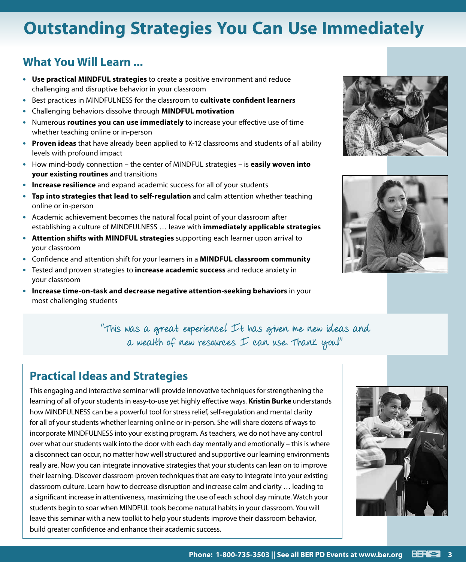# **Outstanding Strategies You Can Use Immediately**

## **What You Will Learn ...**

- **• Use practical MINDFUL strategies** to create a positive environment and reduce challenging and disruptive behavior in your classroom
- **•** Best practices in MINDFULNESS for the classroom to **cultivate confident learners**
- **•** Challenging behaviors dissolve through **MINDFUL motivation**
- **•** Numerous **routines you can use immediately** to increase your effective use of time whether teaching online or in-person
- **• Proven ideas** that have already been applied to K-12 classrooms and students of all ability levels with profound impact
- **•** How mind-body connection the center of MINDFUL strategies is **easily woven into your existing routines** and transitions
- **• Increase resilience** and expand academic success for all of your students
- **• Tap into strategies that lead to self-regulation** and calm attention whether teaching online or in-person
- **•** Academic achievement becomes the natural focal point of your classroom after establishing a culture of MINDFULNESS … leave with **immediately applicable strategies**
- **• Attention shifts with MINDFUL strategies** supporting each learner upon arrival to your classroom
- **•** Confidence and attention shift for your learners in a **MINDFUL classroom community**
- **•** Tested and proven strategies to **increase academic success** and reduce anxiety in your classroom
- **• Increase time-on-task and decrease negative attention-seeking behaviors** in your most challenging students





"This was a great experience! It has given me new ideas and a wealth of new resources  $I$  can use. Thank you!"

## **Practical Ideas and Strategies**

This engaging and interactive seminar will provide innovative techniques for strengthening the learning of all of your students in easy-to-use yet highly effective ways. **Kristin Burke** understands how MINDFULNESS can be a powerful tool for stress relief, self-regulation and mental clarity for all of your students whether learning online or in-person. She will share dozens of ways to incorporate MINDFULNESS into your existing program. As teachers, we do not have any control over what our students walk into the door with each day mentally and emotionally – this is where a disconnect can occur, no matter how well structured and supportive our learning environments really are. Now you can integrate innovative strategies that your students can lean on to improve their learning. Discover classroom-proven techniques that are easy to integrate into your existing classroom culture. Learn how to decrease disruption and increase calm and clarity … leading to a significant increase in attentiveness, maximizing the use of each school day minute. Watch your students begin to soar when MINDFUL tools become natural habits in your classroom. You will leave this seminar with a new toolkit to help your students improve their classroom behavior, build greater confidence and enhance their academic success.

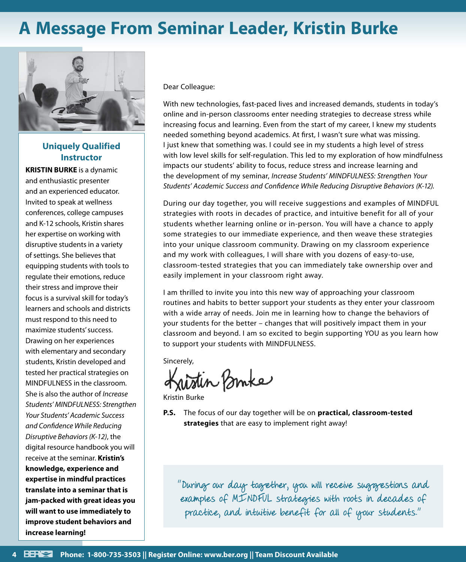# **A Message From Seminar Leader, Kristin Burke**



#### **Uniquely Qualified Instructor**

**KRISTIN BURKE** is a dynamic and enthusiastic presenter and an experienced educator. Invited to speak at wellness conferences, college campuses and K-12 schools, Kristin shares her expertise on working with disruptive students in a variety of settings. She believes that equipping students with tools to regulate their emotions, reduce their stress and improve their focus is a survival skill for today's learners and schools and districts must respond to this need to maximize students' success. Drawing on her experiences with elementary and secondary students, Kristin developed and tested her practical strategies on MINDFULNESS in the classroom*.*  She is also the author of *Increase Students' MINDFULNESS: Strengthen Your Students' Academic Success and Confidence While Reducing Disruptive Behaviors (K-12)*, the digital resource handbook you will receive at the seminar. **Kristin's knowledge, experience and expertise in mindful practices translate into a seminar that is jam-packed with great ideas you will want to use immediately to improve student behaviors and increase learning!**

Dear Colleague:

With new technologies, fast-paced lives and increased demands, students in today's online and in-person classrooms enter needing strategies to decrease stress while increasing focus and learning. Even from the start of my career, I knew my students needed something beyond academics. At first, I wasn't sure what was missing. I just knew that something was. I could see in my students a high level of stress with low level skills for self-regulation. This led to my exploration of how mindfulness impacts our students' ability to focus, reduce stress and increase learning and the development of my seminar, *Increase Students' MINDFULNESS: Strengthen Your Students' Academic Success and Confidence While Reducing Disruptive Behaviors (K-12).*

During our day together, you will receive suggestions and examples of MINDFUL strategies with roots in decades of practice, and intuitive benefit for all of your students whether learning online or in-person. You will have a chance to apply some strategies to our immediate experience, and then weave these strategies into your unique classroom community. Drawing on my classroom experience and my work with colleagues, I will share with you dozens of easy-to-use, classroom-tested strategies that you can immediately take ownership over and easily implement in your classroom right away.

I am thrilled to invite you into this new way of approaching your classroom routines and habits to better support your students as they enter your classroom with a wide array of needs. Join me in learning how to change the behaviors of your students for the better – changes that will positively impact them in your classroom and beyond. I am so excited to begin supporting YOU as you learn how to support your students with MINDFULNESS.

Sincerely,

Kristin Bruke

Kristin Burke

**P.S.** The focus of our day together will be on **practical, classroom-tested strategies** that are easy to implement right away!

"During our day together, you will receive suggestions and examples of MINDFUL strategies with roots in decades of practice, and intuitive benefit for all of your students."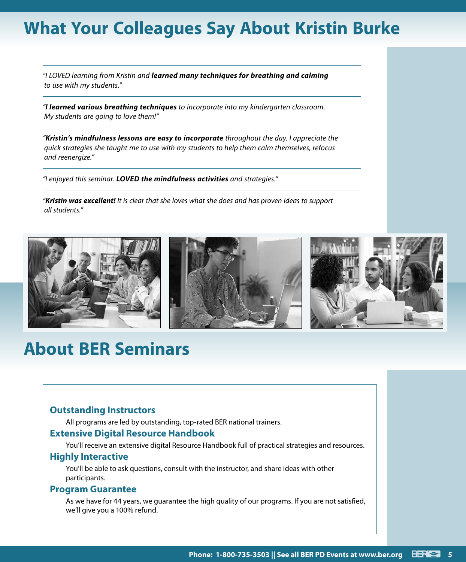# **What Your Colleagues Say About Kristin Burke**

*"I LOVED learning from Kristin and learned many techniques for breathing and calming to use with my students."*

*"I learned various breathing techniques to incorporate into my kindergarten classroom. My students are going to love them!"*

*"Kristin's mindfulness lessons are easy to incorporate throughout the day. I appreciate the quick strategies she taught me to use with my students to help them calm themselves, refocus and reenergize."*

*"I enjoyed this seminar. LOVED the mindfulness activities and strategies."*

*"Kristin was excellent! It is clear that she loves what she does and has proven ideas to support all students."*



# **About BER Seminars**

#### **Outstanding Instructors**

All programs are led by outstanding, top-rated BER national trainers.

#### **Extensive Digital Resource Handbook**

You'll receive an extensive digital Resource Handbook full of practical strategies and resources.

#### **Highly Interactive**

You'll be able to ask questions, consult with the instructor, and share ideas with other participants.

#### **Program Guarantee**

As we have for 44 years, we guarantee the high quality of our programs. If you are not satisfied, we'll give you a 100% refund.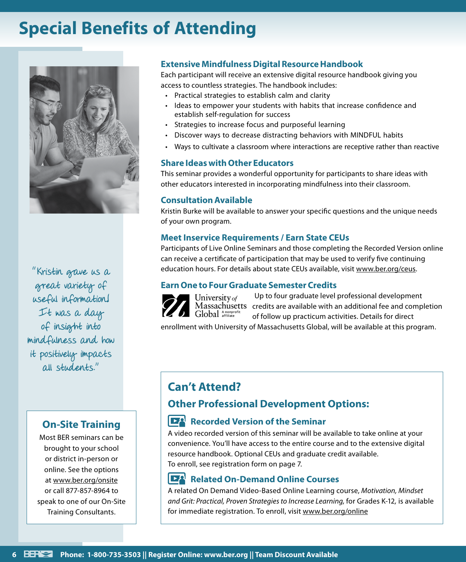# **Special Benefits of Attending**



"Kristin gave us a great variety of useful information! It was a day of insight into mindfulness and how it positively impacts all students."

### **On-Site Training**

Most BER seminars can be brought to your school or district in-person or online. See the options at www.ber.org/onsite or call 877-857-8964 to speak to one of our On-Site Training Consultants.

#### **Extensive Mindfulness Digital Resource Handbook**

Each participant will receive an extensive digital resource handbook giving you access to countless strategies. The handbook includes:

- Practical strategies to establish calm and clarity
- Ideas to empower your students with habits that increase confidence and establish self-regulation for success
- Strategies to increase focus and purposeful learning
- Discover ways to decrease distracting behaviors with MINDFUL habits
- Ways to cultivate a classroom where interactions are receptive rather than reactive

#### **Share Ideas with Other Educators**

This seminar provides a wonderful opportunity for participants to share ideas with other educators interested in incorporating mindfulness into their classroom.

#### **Consultation Available**

Kristin Burke will be available to answer your specific questions and the unique needs of your own program.

#### **Meet Inservice Requirements / Earn State CEUs**

Participants of Live Online Seminars and those completing the Recorded Version online can receive a certificate of participation that may be used to verify five continuing education hours. For details about state CEUs available, visit www.ber.org/ceus.

#### **Earn One to Four Graduate Semester Credits**



Global Anonprofi

Up to four graduate level professional development credits are available with an additional fee and completion of follow up practicum activities. Details for direct

enrollment with University of Massachusetts Global, will be available at this program.

## **Can't Attend?**

## **Other Professional Development Options:**

#### **DA Recorded Version of the Seminar**

A video recorded version of this seminar will be available to take online at your convenience. You'll have access to the entire course and to the extensive digital resource handbook. Optional CEUs and graduate credit available. To enroll, see registration form on page 7.

#### ĿА **Related On-Demand Online Courses**

A related On Demand Video-Based Online Learning course, *Motivation, Mindset and Grit: Practical, Proven Strategies to Increase Learning,* for Grades K-12*,* is available for immediate registration. To enroll, visit www.ber.org/online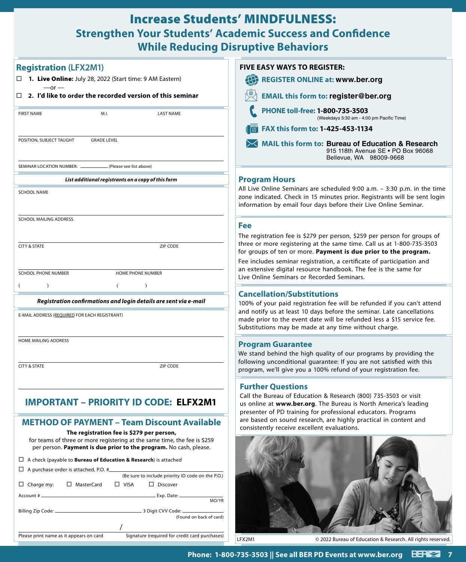## Increase Students' MINDFULNESS: **Strengthen Your Students' Academic Success and Confidence While Reducing Disruptive Behaviors**

| <b>Registration (LFX2M1)</b>                                                                                                                                                                                                                      | <b>FIVE EASY WAYS TO REGISTER:</b>                                                                                                                                                                                                                                                                  |
|---------------------------------------------------------------------------------------------------------------------------------------------------------------------------------------------------------------------------------------------------|-----------------------------------------------------------------------------------------------------------------------------------------------------------------------------------------------------------------------------------------------------------------------------------------------------|
| □ 1. Live Online: July 28, 2022 (Start time: 9 AM Eastern)                                                                                                                                                                                        | 40<br><b>REGISTER ONLINE at: www.ber.org</b>                                                                                                                                                                                                                                                        |
| $-$ or $-$<br>$\Box$ 2. I'd like to order the recorded version of this seminar                                                                                                                                                                    | <b>EMAIL this form to: register@ber.org</b>                                                                                                                                                                                                                                                         |
| <b>FIRST NAME</b><br>M.I.<br><b>LAST NAME</b>                                                                                                                                                                                                     | PHONE toll-free: 1-800-735-3503<br>(Weekdays 5:30 am - 4:00 pm Pacific Time)                                                                                                                                                                                                                        |
|                                                                                                                                                                                                                                                   | FAX this form to: 1-425-453-1134                                                                                                                                                                                                                                                                    |
| POSITION, SUBJECT TAUGHT<br><b>GRADE LEVEL</b>                                                                                                                                                                                                    | <b>MAIL this form to: Bureau of Education &amp; Research</b><br>915 118th Avenue SE . PO Box 96068<br>Bellevue, WA 98009-9668                                                                                                                                                                       |
| (Please see list above)<br>SEMINAR LOCATION NUMBER:                                                                                                                                                                                               |                                                                                                                                                                                                                                                                                                     |
| List additional registrants on a copy of this form                                                                                                                                                                                                | <b>Program Hours</b>                                                                                                                                                                                                                                                                                |
| <b>SCHOOL NAME</b>                                                                                                                                                                                                                                | All Live Online Seminars are scheduled 9:00 a.m. - 3:30 p.m. in the time<br>zone indicated. Check in 15 minutes prior. Registrants will be sent login<br>information by email four days before their Live Online Seminar.                                                                           |
| SCHOOL MAILING ADDRESS                                                                                                                                                                                                                            | <b>Fee</b>                                                                                                                                                                                                                                                                                          |
|                                                                                                                                                                                                                                                   | The registration fee is \$279 per person, \$259 per person for groups of                                                                                                                                                                                                                            |
| ZIP CODE<br><b>CITY &amp; STATE</b>                                                                                                                                                                                                               | three or more registering at the same time. Call us at 1-800-735-3503<br>for groups of ten or more. Payment is due prior to the program.<br>Fee includes seminar registration, a certificate of participation and                                                                                   |
| <b>SCHOOL PHONE NUMBER</b><br><b>HOME PHONE NUMBER</b>                                                                                                                                                                                            | an extensive digital resource handbook. The fee is the same for<br>Live Online Seminars or Recorded Seminars.                                                                                                                                                                                       |
|                                                                                                                                                                                                                                                   |                                                                                                                                                                                                                                                                                                     |
| Registration confirmations and login details are sent via e-mail                                                                                                                                                                                  | <b>Cancellation/Substitutions</b><br>100% of your paid registration fee will be refunded if you can't attend                                                                                                                                                                                        |
| E-MAIL ADDRESS (REQUIRED FOR EACH REGISTRANT)                                                                                                                                                                                                     | and notify us at least 10 days before the seminar. Late cancellations<br>made prior to the event date will be refunded less a \$15 service fee.<br>Substitutions may be made at any time without charge.                                                                                            |
| HOME MAILING ADDRESS                                                                                                                                                                                                                              | <b>Program Guarantee</b>                                                                                                                                                                                                                                                                            |
|                                                                                                                                                                                                                                                   | We stand behind the high quality of our programs by providing the                                                                                                                                                                                                                                   |
| <b>CITY &amp; STATE</b><br><b>ZIP CODE</b>                                                                                                                                                                                                        | following unconditional guarantee: If you are not satisfied with this<br>program, we'll give you a 100% refund of your registration fee.                                                                                                                                                            |
|                                                                                                                                                                                                                                                   |                                                                                                                                                                                                                                                                                                     |
| IMPORTANT – PRIORITY ID CODE: ELFX2M1                                                                                                                                                                                                             | <b>Further Questions</b><br>Call the Bureau of Education & Research (800) 735-3503 or visit<br>us online at www.ber.org. The Bureau is North America's leading<br>presenter of PD training for professional educators. Programs<br>are based on sound research, are highly practical in content and |
| <b>METHOD OF PAYMENT - Team Discount Available</b><br>The registration fee is \$279 per person,<br>for teams of three or more registering at the same time, the fee is \$259<br>per person. Payment is due prior to the program. No cash, please. | consistently receive excellent evaluations.                                                                                                                                                                                                                                                         |
| $\Box$ A check (payable to <b>Bureau of Education &amp; Research</b> ) is attached                                                                                                                                                                |                                                                                                                                                                                                                                                                                                     |
| $\Box$ A purchase order is attached, P.O. # $\Box$                                                                                                                                                                                                |                                                                                                                                                                                                                                                                                                     |
| (Be sure to include priority ID code on the P.O.)<br>□ MasterCard<br>$\Box$ VISA<br>$\Box$ Discover<br>$\Box$ Charge my:                                                                                                                          |                                                                                                                                                                                                                                                                                                     |
| MO/YR                                                                                                                                                                                                                                             |                                                                                                                                                                                                                                                                                                     |
| (Found on back of card)                                                                                                                                                                                                                           |                                                                                                                                                                                                                                                                                                     |
| Signature (required for credit card purchases)<br>Please print name as it appears on card                                                                                                                                                         |                                                                                                                                                                                                                                                                                                     |
|                                                                                                                                                                                                                                                   | LFX2M1<br>© 2022 Bureau of Education & Research. All rights reserved.                                                                                                                                                                                                                               |